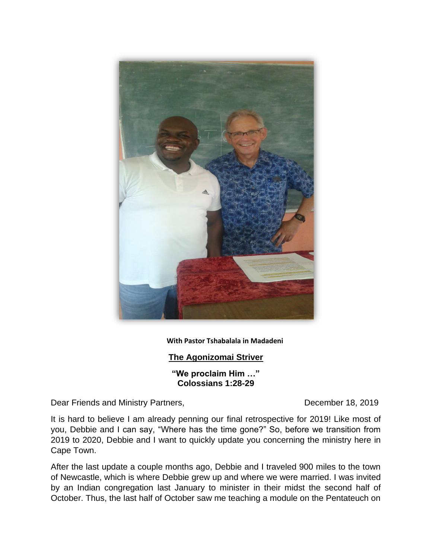

## **With Pastor Tshabalala in Madadeni**

## **The Agonizomai Striver**

**"We proclaim Him …" Colossians 1:28-29**

Dear Friends and Ministry Partners, December 18, 2019

It is hard to believe I am already penning our final retrospective for 2019! Like most of you, Debbie and I can say, "Where has the time gone?" So, before we transition from 2019 to 2020, Debbie and I want to quickly update you concerning the ministry here in Cape Town.

After the last update a couple months ago, Debbie and I traveled 900 miles to the town of Newcastle, which is where Debbie grew up and where we were married. I was invited by an Indian congregation last January to minister in their midst the second half of October. Thus, the last half of October saw me teaching a module on the Pentateuch on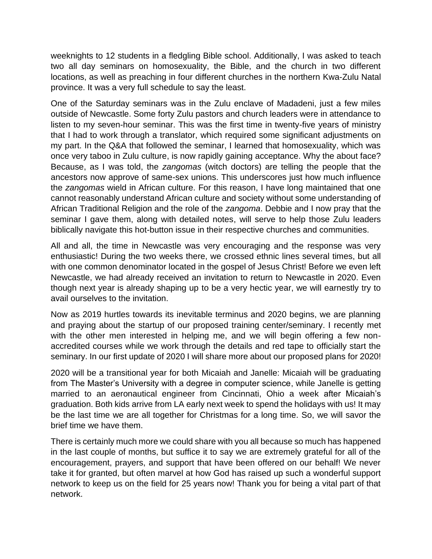weeknights to 12 students in a fledgling Bible school. Additionally, I was asked to teach two all day seminars on homosexuality, the Bible, and the church in two different locations, as well as preaching in four different churches in the northern Kwa-Zulu Natal province. It was a very full schedule to say the least.

One of the Saturday seminars was in the Zulu enclave of Madadeni, just a few miles outside of Newcastle. Some forty Zulu pastors and church leaders were in attendance to listen to my seven-hour seminar. This was the first time in twenty-five years of ministry that I had to work through a translator, which required some significant adjustments on my part. In the Q&A that followed the seminar, I learned that homosexuality, which was once very taboo in Zulu culture, is now rapidly gaining acceptance. Why the about face? Because, as I was told, the *zangomas* (witch doctors) are telling the people that the ancestors now approve of same-sex unions. This underscores just how much influence the *zangomas* wield in African culture. For this reason, I have long maintained that one cannot reasonably understand African culture and society without some understanding of African Traditional Religion and the role of the *zangoma*. Debbie and I now pray that the seminar I gave them, along with detailed notes, will serve to help those Zulu leaders biblically navigate this hot-button issue in their respective churches and communities.

All and all, the time in Newcastle was very encouraging and the response was very enthusiastic! During the two weeks there, we crossed ethnic lines several times, but all with one common denominator located in the gospel of Jesus Christ! Before we even left Newcastle, we had already received an invitation to return to Newcastle in 2020. Even though next year is already shaping up to be a very hectic year, we will earnestly try to avail ourselves to the invitation.

Now as 2019 hurtles towards its inevitable terminus and 2020 begins, we are planning and praying about the startup of our proposed training center/seminary. I recently met with the other men interested in helping me, and we will begin offering a few nonaccredited courses while we work through the details and red tape to officially start the seminary. In our first update of 2020 I will share more about our proposed plans for 2020!

2020 will be a transitional year for both Micaiah and Janelle: Micaiah will be graduating from The Master's University with a degree in computer science, while Janelle is getting married to an aeronautical engineer from Cincinnati, Ohio a week after Micaiah's graduation. Both kids arrive from LA early next week to spend the holidays with us! It may be the last time we are all together for Christmas for a long time. So, we will savor the brief time we have them.

There is certainly much more we could share with you all because so much has happened in the last couple of months, but suffice it to say we are extremely grateful for all of the encouragement, prayers, and support that have been offered on our behalf! We never take it for granted, but often marvel at how God has raised up such a wonderful support network to keep us on the field for 25 years now! Thank you for being a vital part of that network.